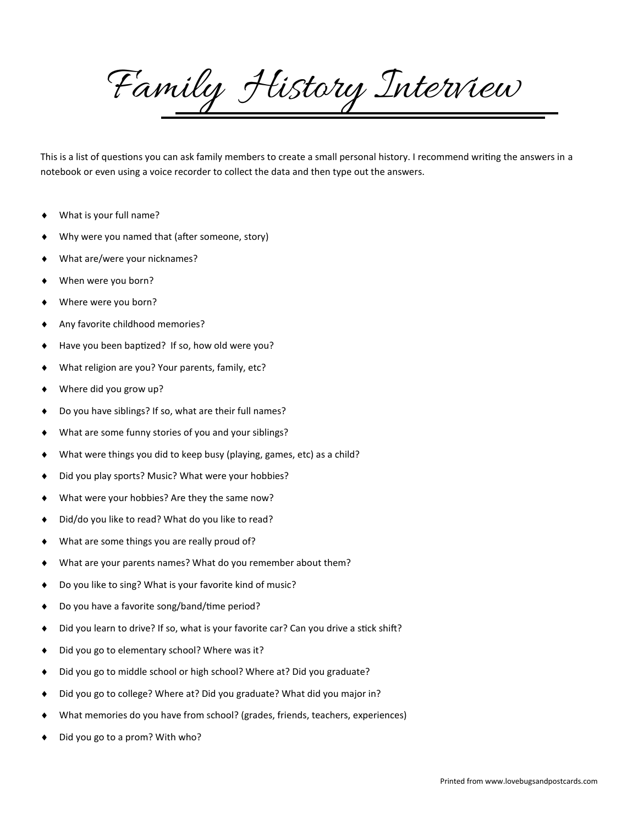Family History Interview

This is a list of questions you can ask family members to create a small personal history. I recommend writing the answers in a notebook or even using a voice recorder to collect the data and then type out the answers.

- What is your full name?
- Why were you named that (after someone, story)
- What are/were your nicknames?
- When were you born?
- Where were you born?
- Any favorite childhood memories?
- Have you been baptized? If so, how old were you?
- What religion are you? Your parents, family, etc?
- Where did you grow up?
- Do you have siblings? If so, what are their full names?
- What are some funny stories of you and your siblings?
- What were things you did to keep busy (playing, games, etc) as a child?
- Did you play sports? Music? What were your hobbies?
- What were your hobbies? Are they the same now?
- Did/do you like to read? What do you like to read?
- What are some things you are really proud of?
- What are your parents names? What do you remember about them?
- Do you like to sing? What is your favorite kind of music?
- Do you have a favorite song/band/time period?
- Did you learn to drive? If so, what is your favorite car? Can you drive a stick shift?
- ◆ Did you go to elementary school? Where was it?
- ◆ Did you go to middle school or high school? Where at? Did you graduate?
- Did you go to college? Where at? Did you graduate? What did you major in?
- What memories do you have from school? (grades, friends, teachers, experiences)
- ◆ Did you go to a prom? With who?